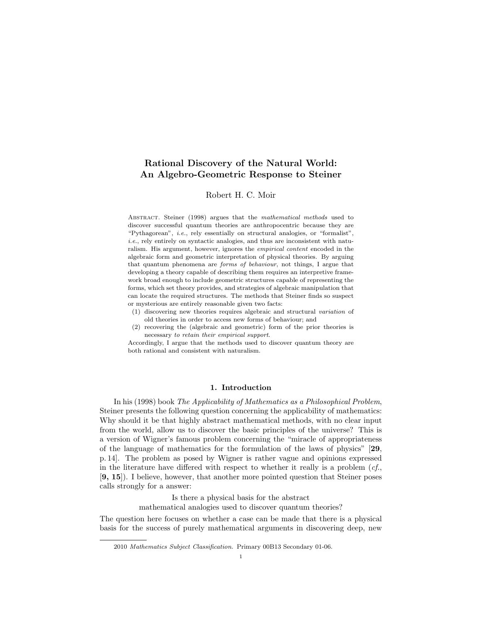# Rational Discovery of the Natural World: An Algebro-Geometric Response to Steiner

### Robert H. C. Moir

ABSTRACT. Steiner (1998) argues that the mathematical methods used to discover successful quantum theories are anthropocentric because they are "Pythagorean", i.e., rely essentially on structural analogies, or "formalist", i.e., rely entirely on syntactic analogies, and thus are inconsistent with naturalism. His argument, however, ignores the empirical content encoded in the algebraic form and geometric interpretation of physical theories. By arguing that quantum phenomena are forms of behaviour, not things, I argue that developing a theory capable of describing them requires an interpretive framework broad enough to include geometric structures capable of representing the forms, which set theory provides, and strategies of algebraic manipulation that can locate the required structures. The methods that Steiner finds so suspect or mysterious are entirely reasonable given two facts:

- (1) discovering new theories requires algebraic and structural variation of old theories in order to access new forms of behaviour; and
- (2) recovering the (algebraic and geometric) form of the prior theories is necessary to retain their empirical support.

Accordingly, I argue that the methods used to discover quantum theory are both rational and consistent with naturalism.

## 1. Introduction

In his (1998) book The Applicability of Mathematics as a Philosophical Problem, Steiner presents the following question concerning the applicability of mathematics: Why should it be that highly abstract mathematical methods, with no clear input from the world, allow us to discover the basic principles of the universe? This is a version of Wigner's famous problem concerning the "miracle of appropriateness of the language of mathematics for the formulation of the laws of physics" [29, p. 14]. The problem as posed by Wigner is rather vague and opinions expressed in the literature have differed with respect to whether it really is a problem  $(cf,$ [9, 15]). I believe, however, that another more pointed question that Steiner poses calls strongly for a answer:

Is there a physical basis for the abstract

mathematical analogies used to discover quantum theories?

The question here focuses on whether a case can be made that there is a physical basis for the success of purely mathematical arguments in discovering deep, new

<sup>2010</sup> Mathematics Subject Classification. Primary 00B13 Secondary 01-06.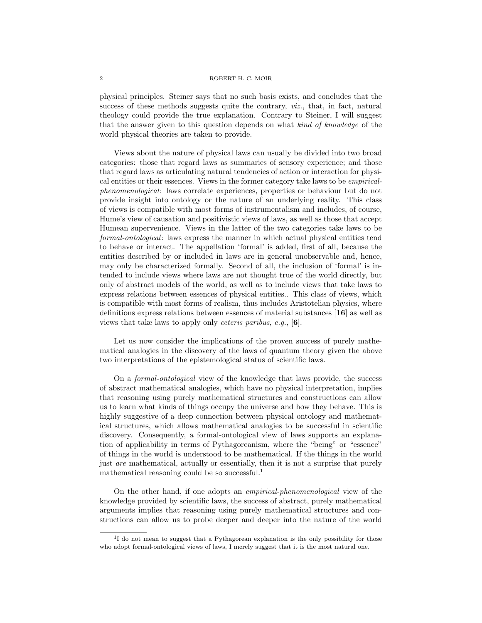#### 2 ROBERT H. C. MOIR

physical principles. Steiner says that no such basis exists, and concludes that the success of these methods suggests quite the contrary, viz., that, in fact, natural theology could provide the true explanation. Contrary to Steiner, I will suggest that the answer given to this question depends on what kind of knowledge of the world physical theories are taken to provide.

Views about the nature of physical laws can usually be divided into two broad categories: those that regard laws as summaries of sensory experience; and those that regard laws as articulating natural tendencies of action or interaction for physical entities or their essences. Views in the former category take laws to be empiricalphenomenological: laws correlate experiences, properties or behaviour but do not provide insight into ontology or the nature of an underlying reality. This class of views is compatible with most forms of instrumentalism and includes, of course, Hume's view of causation and positivistic views of laws, as well as those that accept Humean supervenience. Views in the latter of the two categories take laws to be formal-ontological: laws express the manner in which actual physical entities tend to behave or interact. The appellation 'formal' is added, first of all, because the entities described by or included in laws are in general unobservable and, hence, may only be characterized formally. Second of all, the inclusion of 'formal' is intended to include views where laws are not thought true of the world directly, but only of abstract models of the world, as well as to include views that take laws to express relations between essences of physical entities.. This class of views, which is compatible with most forms of realism, thus includes Aristotelian physics, where definitions express relations between essences of material substances [16] as well as views that take laws to apply only ceteris paribus, e.g., [6].

Let us now consider the implications of the proven success of purely mathematical analogies in the discovery of the laws of quantum theory given the above two interpretations of the epistemological status of scientific laws.

On a formal-ontological view of the knowledge that laws provide, the success of abstract mathematical analogies, which have no physical interpretation, implies that reasoning using purely mathematical structures and constructions can allow us to learn what kinds of things occupy the universe and how they behave. This is highly suggestive of a deep connection between physical ontology and mathematical structures, which allows mathematical analogies to be successful in scientific discovery. Consequently, a formal-ontological view of laws supports an explanation of applicability in terms of Pythagoreanism, where the "being" or "essence" of things in the world is understood to be mathematical. If the things in the world just are mathematical, actually or essentially, then it is not a surprise that purely mathematical reasoning could be so successful.<sup>1</sup>

On the other hand, if one adopts an empirical-phenomenological view of the knowledge provided by scientific laws, the success of abstract, purely mathematical arguments implies that reasoning using purely mathematical structures and constructions can allow us to probe deeper and deeper into the nature of the world

<sup>&</sup>lt;sup>1</sup>I do not mean to suggest that a Pythagorean explanation is the only possibility for those who adopt formal-ontological views of laws, I merely suggest that it is the most natural one.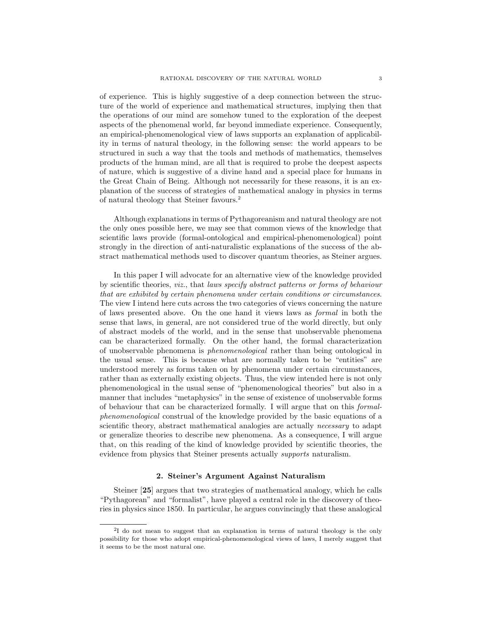of experience. This is highly suggestive of a deep connection between the structure of the world of experience and mathematical structures, implying then that the operations of our mind are somehow tuned to the exploration of the deepest aspects of the phenomenal world, far beyond immediate experience. Consequently, an empirical-phenomenological view of laws supports an explanation of applicability in terms of natural theology, in the following sense: the world appears to be structured in such a way that the tools and methods of mathematics, themselves products of the human mind, are all that is required to probe the deepest aspects of nature, which is suggestive of a divine hand and a special place for humans in the Great Chain of Being. Although not necessarily for these reasons, it is an explanation of the success of strategies of mathematical analogy in physics in terms of natural theology that Steiner favours.<sup>2</sup>

Although explanations in terms of Pythagoreanism and natural theology are not the only ones possible here, we may see that common views of the knowledge that scientific laws provide (formal-ontological and empirical-phenomenological) point strongly in the direction of anti-naturalistic explanations of the success of the abstract mathematical methods used to discover quantum theories, as Steiner argues.

In this paper I will advocate for an alternative view of the knowledge provided by scientific theories, viz., that laws specify abstract patterns or forms of behaviour that are exhibited by certain phenomena under certain conditions or circumstances. The view I intend here cuts across the two categories of views concerning the nature of laws presented above. On the one hand it views laws as formal in both the sense that laws, in general, are not considered true of the world directly, but only of abstract models of the world, and in the sense that unobservable phenomena can be characterized formally. On the other hand, the formal characterization of unobservable phenomena is phenomenological rather than being ontological in the usual sense. This is because what are normally taken to be "entities" are understood merely as forms taken on by phenomena under certain circumstances, rather than as externally existing objects. Thus, the view intended here is not only phenomenological in the usual sense of "phenomenological theories" but also in a manner that includes "metaphysics" in the sense of existence of unobservable forms of behaviour that can be characterized formally. I will argue that on this formalphenomenological construal of the knowledge provided by the basic equations of a scientific theory, abstract mathematical analogies are actually *necessary* to adapt or generalize theories to describe new phenomena. As a consequence, I will argue that, on this reading of the kind of knowledge provided by scientific theories, the evidence from physics that Steiner presents actually *supports* naturalism.

### 2. Steiner's Argument Against Naturalism

Steiner [25] argues that two strategies of mathematical analogy, which he calls "Pythagorean" and "formalist", have played a central role in the discovery of theories in physics since 1850. In particular, he argues convincingly that these analogical

<sup>&</sup>lt;sup>2</sup>I do not mean to suggest that an explanation in terms of natural theology is the only possibility for those who adopt empirical-phenomenological views of laws, I merely suggest that it seems to be the most natural one.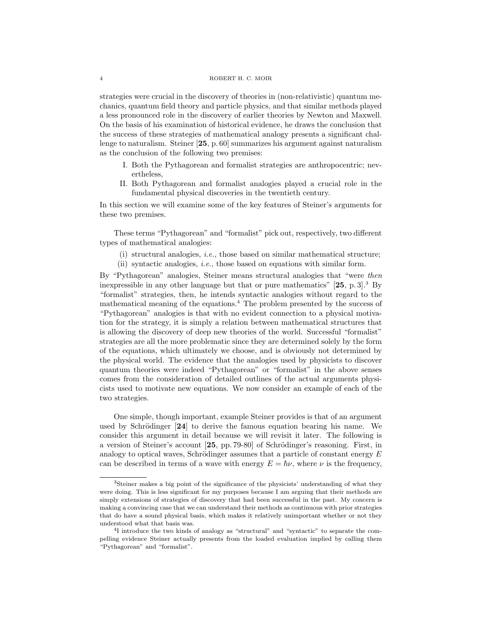strategies were crucial in the discovery of theories in (non-relativistic) quantum mechanics, quantum field theory and particle physics, and that similar methods played a less pronounced role in the discovery of earlier theories by Newton and Maxwell. On the basis of his examination of historical evidence, he draws the conclusion that the success of these strategies of mathematical analogy presents a significant challenge to naturalism. Steiner [25, p. 60] summarizes his argument against naturalism as the conclusion of the following two premises:

- I. Both the Pythagorean and formalist strategies are anthropocentric; nevertheless,
- II. Both Pythagorean and formalist analogies played a crucial role in the fundamental physical discoveries in the twentieth century.

In this section we will examine some of the key features of Steiner's arguments for these two premises.

These terms "Pythagorean" and "formalist" pick out, respectively, two different types of mathematical analogies:

- (i) structural analogies, i.e., those based on similar mathematical structure;
- (ii) syntactic analogies, i.e., those based on equations with similar form.

By "Pythagorean" analogies, Steiner means structural analogies that "were then inexpressible in any other language but that or pure mathematics"  $[25, p. 3]$ .<sup>3</sup> By "formalist" strategies, then, he intends syntactic analogies without regard to the mathematical meaning of the equations.<sup>4</sup> The problem presented by the success of "Pythagorean" analogies is that with no evident connection to a physical motivation for the strategy, it is simply a relation between mathematical structures that is allowing the discovery of deep new theories of the world. Successful "formalist" strategies are all the more problematic since they are determined solely by the form of the equations, which ultimately we choose, and is obviously not determined by the physical world. The evidence that the analogies used by physicists to discover quantum theories were indeed "Pythagorean" or "formalist" in the above senses comes from the consideration of detailed outlines of the actual arguments physicists used to motivate new equations. We now consider an example of each of the two strategies.

One simple, though important, example Steiner provides is that of an argument used by Schrödinger  $[24]$  to derive the famous equation bearing his name. We consider this argument in detail because we will revisit it later. The following is a version of Steiner's account [25, pp. 79-80] of Schrödinger's reasoning. First, in analogy to optical waves, Schrödinger assumes that a particle of constant energy  $E$ can be described in terms of a wave with energy  $E = \hbar \nu$ , where  $\nu$  is the frequency,

<sup>3</sup>Steiner makes a big point of the significance of the physicists' understanding of what they were doing. This is less significant for my purposes because I am arguing that their methods are simply extensions of strategies of discovery that had been successful in the past. My concern is making a convincing case that we can understand their methods as continuous with prior strategies that do have a sound physical basis, which makes it relatively unimportant whether or not they understood what that basis was.

<sup>&</sup>lt;sup>4</sup>I introduce the two kinds of analogy as "structural" and "syntactic" to separate the compelling evidence Steiner actually presents from the loaded evaluation implied by calling them "Pythagorean" and "formalist".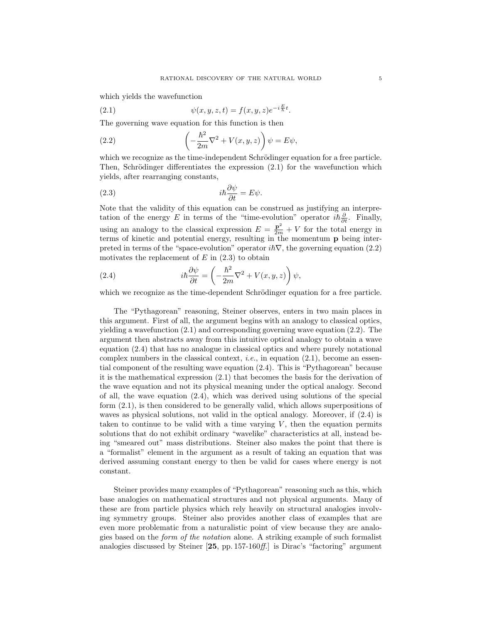which yields the wavefunction

(2.1) 
$$
\psi(x, y, z, t) = f(x, y, z)e^{-i\frac{E}{\hbar}t}.
$$

The governing wave equation for this function is then

(2.2) 
$$
\left(-\frac{\hbar^2}{2m}\nabla^2 + V(x,y,z)\right)\psi = E\psi,
$$

which we recognize as the time-independent Schrödinger equation for a free particle. Then, Schrödinger differentiates the expression  $(2.1)$  for the wavefunction which yields, after rearranging constants,

(2.3) 
$$
i\hbar \frac{\partial \psi}{\partial t} = E \psi.
$$

Note that the validity of this equation can be construed as justifying an interpretation of the energy E in terms of the "time-evolution" operator  $i\hbar \frac{\partial}{\partial t}$ . Finally, using an analogy to the classical expression  $E = \frac{\mathbf{p}^2}{2m} + V$  for the total energy in terms of kinetic and potential energy, resulting in the momentum p being interpreted in terms of the "space-evolution" operator  $i\hbar\nabla$ , the governing equation (2.2) motivates the replacement of  $E$  in  $(2.3)$  to obtain

(2.4) 
$$
i\hbar \frac{\partial \psi}{\partial t} = \left(-\frac{\hbar^2}{2m}\nabla^2 + V(x, y, z)\right)\psi,
$$

which we recognize as the time-dependent Schrödinger equation for a free particle.

The "Pythagorean" reasoning, Steiner observes, enters in two main places in this argument. First of all, the argument begins with an analogy to classical optics, yielding a wavefunction (2.1) and corresponding governing wave equation (2.2). The argument then abstracts away from this intuitive optical analogy to obtain a wave equation (2.4) that has no analogue in classical optics and where purely notational complex numbers in the classical context, *i.e.*, in equation  $(2.1)$ , become an essential component of the resulting wave equation (2.4). This is "Pythagorean" because it is the mathematical expression (2.1) that becomes the basis for the derivation of the wave equation and not its physical meaning under the optical analogy. Second of all, the wave equation (2.4), which was derived using solutions of the special form (2.1), is then considered to be generally valid, which allows superpositions of waves as physical solutions, not valid in the optical analogy. Moreover, if (2.4) is taken to continue to be valid with a time varying  $V$ , then the equation permits solutions that do not exhibit ordinary "wavelike" characteristics at all, instead being "smeared out" mass distributions. Steiner also makes the point that there is a "formalist" element in the argument as a result of taking an equation that was derived assuming constant energy to then be valid for cases where energy is not constant.

Steiner provides many examples of "Pythagorean" reasoning such as this, which base analogies on mathematical structures and not physical arguments. Many of these are from particle physics which rely heavily on structural analogies involving symmetry groups. Steiner also provides another class of examples that are even more problematic from a naturalistic point of view because they are analogies based on the form of the notation alone. A striking example of such formalist analogies discussed by Steiner [25, pp. 157-160ff.] is Dirac's "factoring" argument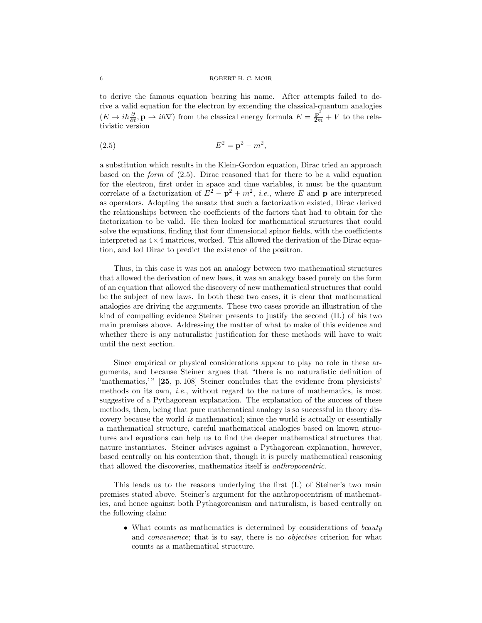to derive the famous equation bearing his name. After attempts failed to derive a valid equation for the electron by extending the classical-quantum analogies  $(E \to i\hbar \frac{\partial}{\partial t}, \mathbf{p} \to i\hbar \nabla)$  from the classical energy formula  $E = \frac{\mathbf{p}^2}{2m} + V$  to the relativistic version

(2.5) 
$$
E^2 = \mathbf{p}^2 - m^2,
$$

a substitution which results in the Klein-Gordon equation, Dirac tried an approach based on the *form* of  $(2.5)$ . Dirac reasoned that for there to be a valid equation for the electron, first order in space and time variables, it must be the quantum correlate of a factorization of  $E^2 - \mathbf{p}^2 + m^2$ , *i.e.*, where E and **p** are interpreted as operators. Adopting the ansatz that such a factorization existed, Dirac derived the relationships between the coefficients of the factors that had to obtain for the factorization to be valid. He then looked for mathematical structures that could solve the equations, finding that four dimensional spinor fields, with the coefficients interpreted as  $4 \times 4$  matrices, worked. This allowed the derivation of the Dirac equation, and led Dirac to predict the existence of the positron.

Thus, in this case it was not an analogy between two mathematical structures that allowed the derivation of new laws, it was an analogy based purely on the form of an equation that allowed the discovery of new mathematical structures that could be the subject of new laws. In both these two cases, it is clear that mathematical analogies are driving the arguments. These two cases provide an illustration of the kind of compelling evidence Steiner presents to justify the second (II.) of his two main premises above. Addressing the matter of what to make of this evidence and whether there is any naturalistic justification for these methods will have to wait until the next section.

Since empirical or physical considerations appear to play no role in these arguments, and because Steiner argues that "there is no naturalistic definition of 'mathematics,'" [25, p. 108] Steiner concludes that the evidence from physicists' methods on its own, *i.e.*, without regard to the nature of mathematics, is most suggestive of a Pythagorean explanation. The explanation of the success of these methods, then, being that pure mathematical analogy is so successful in theory discovery because the world is mathematical; since the world is actually or essentially a mathematical structure, careful mathematical analogies based on known structures and equations can help us to find the deeper mathematical structures that nature instantiates. Steiner advises against a Pythagorean explanation, however, based centrally on his contention that, though it is purely mathematical reasoning that allowed the discoveries, mathematics itself is anthropocentric.

This leads us to the reasons underlying the first (I.) of Steiner's two main premises stated above. Steiner's argument for the anthropocentrism of mathematics, and hence against both Pythagoreanism and naturalism, is based centrally on the following claim:

• What counts as mathematics is determined by considerations of *beauty* and *convenience*; that is to say, there is no *objective* criterion for what counts as a mathematical structure.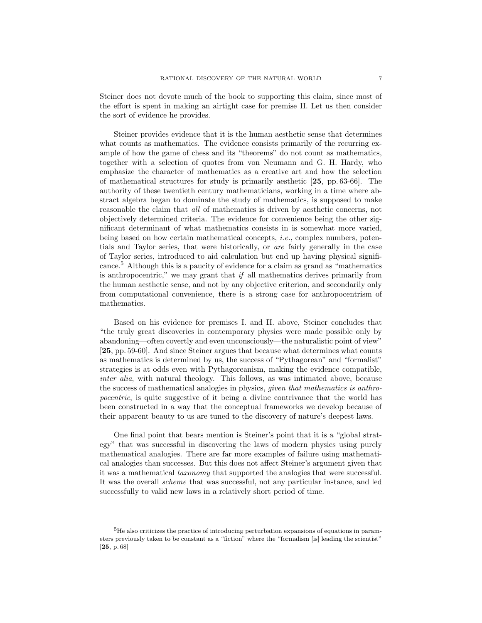Steiner does not devote much of the book to supporting this claim, since most of the effort is spent in making an airtight case for premise II. Let us then consider the sort of evidence he provides.

Steiner provides evidence that it is the human aesthetic sense that determines what counts as mathematics. The evidence consists primarily of the recurring example of how the game of chess and its "theorems" do not count as mathematics, together with a selection of quotes from von Neumann and G. H. Hardy, who emphasize the character of mathematics as a creative art and how the selection of mathematical structures for study is primarily aesthetic [25, pp. 63-66]. The authority of these twentieth century mathematicians, working in a time where abstract algebra began to dominate the study of mathematics, is supposed to make reasonable the claim that all of mathematics is driven by aesthetic concerns, not objectively determined criteria. The evidence for convenience being the other significant determinant of what mathematics consists in is somewhat more varied, being based on how certain mathematical concepts, i.e., complex numbers, potentials and Taylor series, that were historically, or are fairly generally in the case of Taylor series, introduced to aid calculation but end up having physical significance.<sup>5</sup> Although this is a paucity of evidence for a claim as grand as "mathematics is anthropocentric," we may grant that  $if$  all mathematics derives primarily from the human aesthetic sense, and not by any objective criterion, and secondarily only from computational convenience, there is a strong case for anthropocentrism of mathematics.

Based on his evidence for premises I. and II. above, Steiner concludes that "the truly great discoveries in contemporary physics were made possible only by abandoning—often covertly and even unconsciously—the naturalistic point of view" [25, pp. 59-60]. And since Steiner argues that because what determines what counts as mathematics is determined by us, the success of "Pythagorean" and "formalist" strategies is at odds even with Pythagoreanism, making the evidence compatible, inter alia, with natural theology. This follows, as was intimated above, because the success of mathematical analogies in physics, given that mathematics is anthropocentric, is quite suggestive of it being a divine contrivance that the world has been constructed in a way that the conceptual frameworks we develop because of their apparent beauty to us are tuned to the discovery of nature's deepest laws.

One final point that bears mention is Steiner's point that it is a "global strategy" that was successful in discovering the laws of modern physics using purely mathematical analogies. There are far more examples of failure using mathematical analogies than successes. But this does not affect Steiner's argument given that it was a mathematical taxonomy that supported the analogies that were successful. It was the overall scheme that was successful, not any particular instance, and led successfully to valid new laws in a relatively short period of time.

<sup>&</sup>lt;sup>5</sup>He also criticizes the practice of introducing perturbation expansions of equations in parameters previously taken to be constant as a "fiction" where the "formalism [is] leading the scientist" [25, p. 68]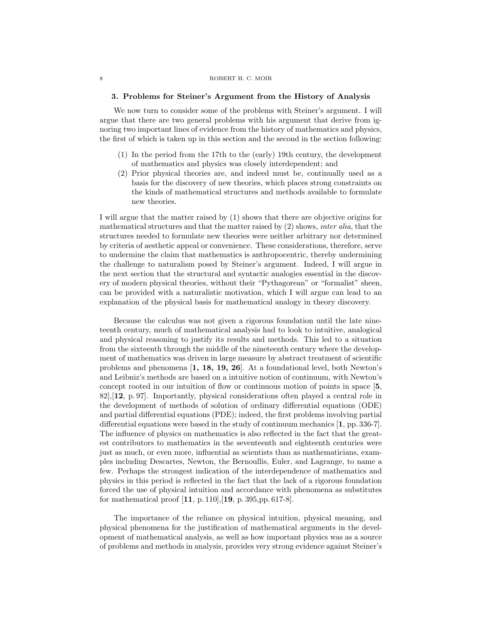#### 8 ROBERT H. C. MOIR

#### 3. Problems for Steiner's Argument from the History of Analysis

We now turn to consider some of the problems with Steiner's argument. I will argue that there are two general problems with his argument that derive from ignoring two important lines of evidence from the history of mathematics and physics, the first of which is taken up in this section and the second in the section following:

- (1) In the period from the 17th to the (early) 19th century, the development of mathematics and physics was closely interdependent; and
- (2) Prior physical theories are, and indeed must be, continually used as a basis for the discovery of new theories, which places strong constraints on the kinds of mathematical structures and methods available to formulate new theories.

I will argue that the matter raised by (1) shows that there are objective origins for mathematical structures and that the matter raised by (2) shows, inter alia, that the structures needed to formulate new theories were neither arbitrary nor determined by criteria of aesthetic appeal or convenience. These considerations, therefore, serve to undermine the claim that mathematics is anthropocentric, thereby undermining the challenge to naturalism posed by Steiner's argument. Indeed, I will argue in the next section that the structural and syntactic analogies essential in the discovery of modern physical theories, without their "Pythagorean" or "formalist" sheen, can be provided with a naturalistic motivation, which I will argue can lead to an explanation of the physical basis for mathematical analogy in theory discovery.

Because the calculus was not given a rigorous foundation until the late nineteenth century, much of mathematical analysis had to look to intuitive, analogical and physical reasoning to justify its results and methods. This led to a situation from the sixteenth through the middle of the nineteenth century where the development of mathematics was driven in large measure by abstract treatment of scientific problems and phenomena [1, 18, 19, 26]. At a foundational level, both Newton's and Leibniz's methods are based on a intuitive notion of continuum, with Newton's concept rooted in our intuition of flow or continuous motion of points in space [5,  $82$ ,  $12$ , p. 97. Importantly, physical considerations often played a central role in the development of methods of solution of ordinary differential equations (ODE) and partial differential equations (PDE); indeed, the first problems involving partial differential equations were based in the study of continuum mechanics [1, pp. 336-7]. The influence of physics on mathematics is also reflected in the fact that the greatest contributors to mathematics in the seventeenth and eighteenth centuries were just as much, or even more, influential as scientists than as mathematicians, examples including Descartes, Newton, the Bernoullis, Euler, and Lagrange, to name a few. Perhaps the strongest indication of the interdependence of mathematics and physics in this period is reflected in the fact that the lack of a rigorous foundation forced the use of physical intuition and accordance with phenomena as substitutes for mathematical proof [11, p. 110],[19, p. 395,pp. 617-8].

The importance of the reliance on physical intuition, physical meaning, and physical phenomena for the justification of mathematical arguments in the development of mathematical analysis, as well as how important physics was as a source of problems and methods in analysis, provides very strong evidence against Steiner's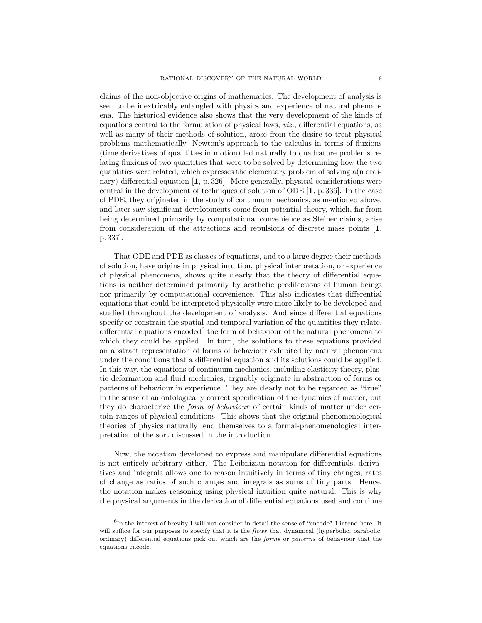claims of the non-objective origins of mathematics. The development of analysis is seen to be inextricably entangled with physics and experience of natural phenomena. The historical evidence also shows that the very development of the kinds of equations central to the formulation of physical laws, viz., differential equations, as well as many of their methods of solution, arose from the desire to treat physical problems mathematically. Newton's approach to the calculus in terms of fluxions (time derivatives of quantities in motion) led naturally to quadrature problems relating fluxions of two quantities that were to be solved by determining how the two quantities were related, which expresses the elementary problem of solving a(n ordinary) differential equation [1, p. 326]. More generally, physical considerations were central in the development of techniques of solution of ODE [1, p. 336]. In the case of PDE, they originated in the study of continuum mechanics, as mentioned above, and later saw significant developments come from potential theory, which, far from being determined primarily by computational convenience as Steiner claims, arise from consideration of the attractions and repulsions of discrete mass points [1, p. 337].

That ODE and PDE as classes of equations, and to a large degree their methods of solution, have origins in physical intuition, physical interpretation, or experience of physical phenomena, shows quite clearly that the theory of differential equations is neither determined primarily by aesthetic predilections of human beings nor primarily by computational convenience. This also indicates that differential equations that could be interpreted physically were more likely to be developed and studied throughout the development of analysis. And since differential equations specify or constrain the spatial and temporal variation of the quantities they relate, differential equations encoded<sup>6</sup> the form of behaviour of the natural phenomena to which they could be applied. In turn, the solutions to these equations provided an abstract representation of forms of behaviour exhibited by natural phenomena under the conditions that a differential equation and its solutions could be applied. In this way, the equations of continuum mechanics, including elasticity theory, plastic deformation and fluid mechanics, arguably originate in abstraction of forms or patterns of behaviour in experience. They are clearly not to be regarded as "true" in the sense of an ontologically correct specification of the dynamics of matter, but they do characterize the form of behaviour of certain kinds of matter under certain ranges of physical conditions. This shows that the original phenomenological theories of physics naturally lend themselves to a formal-phenomenological interpretation of the sort discussed in the introduction.

Now, the notation developed to express and manipulate differential equations is not entirely arbitrary either. The Leibnizian notation for differentials, derivatives and integrals allows one to reason intuitively in terms of tiny changes, rates of change as ratios of such changes and integrals as sums of tiny parts. Hence, the notation makes reasoning using physical intuition quite natural. This is why the physical arguments in the derivation of differential equations used and continue

<sup>&</sup>lt;sup>6</sup>In the interest of brevity I will not consider in detail the sense of "encode" I intend here. It will suffice for our purposes to specify that it is the *flows* that dynamical (hyperbolic, parabolic, ordinary) differential equations pick out which are the forms or patterns of behaviour that the equations encode.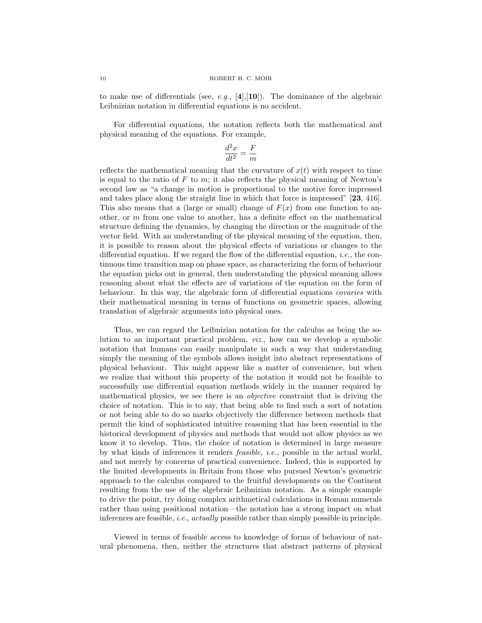to make use of differentials (see, e.g.,  $[4], [10]$ ). The dominance of the algebraic Leibnizian notation in differential equations is no accident.

For differential equations, the notation reflects both the mathematical and physical meaning of the equations. For example,

$$
\frac{d^2x}{dt^2} = \frac{F}{m}
$$

reflects the mathematical meaning that the curvature of  $x(t)$  with respect to time is equal to the ratio of  $F$  to  $m$ ; it also reflects the physical meaning of Newton's second law as "a change in motion is proportional to the motive force impressed and takes place along the straight line in which that force is impressed" [23, 416]. This also means that a (large or small) change of  $F(x)$  from one function to another, or m from one value to another, has a definite effect on the mathematical structure defining the dynamics, by changing the direction or the magnitude of the vector field. With an understanding of the physical meaning of the equation, then, it is possible to reason about the physical effects of variations or changes to the differential equation. If we regard the flow of the differential equation, *i.e.*, the continuous time transition map on phase space, as characterizing the form of behaviour the equation picks out in general, then understanding the physical meaning allows reasoning about what the effects are of variations of the equation on the form of behaviour. In this way, the algebraic form of differential equations covaries with their mathematical meaning in terms of functions on geometric spaces, allowing translation of algebraic arguments into physical ones.

Thus, we can regard the Leibnizian notation for the calculus as being the solution to an important practical problem, viz., how can we develop a symbolic notation that humans can easily manipulate in such a way that understanding simply the meaning of the symbols allows insight into abstract representations of physical behaviour. This might appear like a matter of convenience, but when we realize that without this property of the notation it would not be feasible to successfully use differential equation methods widely in the manner required by mathematical physics, we see there is an *objective* constraint that is driving the choice of notation. This is to say, that being able to find such a sort of notation or not being able to do so marks objectively the difference between methods that permit the kind of sophisticated intuitive reasoning that has been essential in the historical development of physics and methods that would not allow physics as we know it to develop. Thus, the choice of notation is determined in large measure by what kinds of inferences it renders feasible, i.e., possible in the actual world, and not merely by concerns of practical convenience. Indeed, this is supported by the limited developments in Britain from those who pursued Newton's geometric approach to the calculus compared to the fruitful developments on the Continent resulting from the use of the algebraic Leibnizian notation. As a simple example to drive the point, try doing complex arithmetical calculations in Roman numerals rather than using positional notation—the notation has a strong impact on what inferences are feasible, i.e., actually possible rather than simply possible in principle.

Viewed in terms of feasible access to knowledge of forms of behaviour of natural phenomena, then, neither the structures that abstract patterns of physical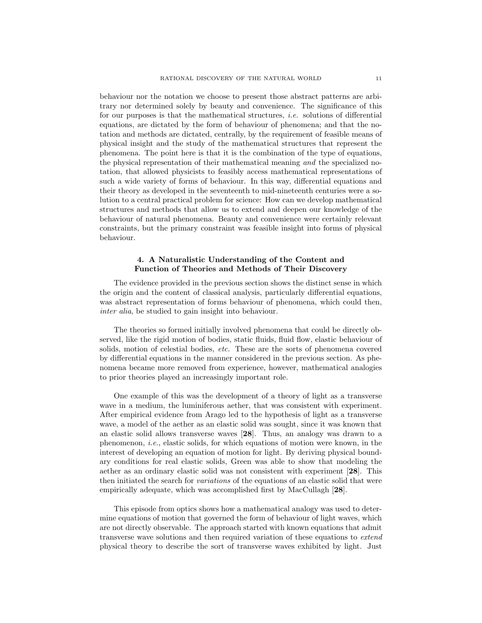behaviour nor the notation we choose to present those abstract patterns are arbitrary nor determined solely by beauty and convenience. The significance of this for our purposes is that the mathematical structures, i.e. solutions of differential equations, are dictated by the form of behaviour of phenomena; and that the notation and methods are dictated, centrally, by the requirement of feasible means of physical insight and the study of the mathematical structures that represent the phenomena. The point here is that it is the combination of the type of equations, the physical representation of their mathematical meaning and the specialized notation, that allowed physicists to feasibly access mathematical representations of such a wide variety of forms of behaviour. In this way, differential equations and their theory as developed in the seventeenth to mid-nineteenth centuries were a solution to a central practical problem for science: How can we develop mathematical structures and methods that allow us to extend and deepen our knowledge of the behaviour of natural phenomena. Beauty and convenience were certainly relevant constraints, but the primary constraint was feasible insight into forms of physical behaviour.

# 4. A Naturalistic Understanding of the Content and Function of Theories and Methods of Their Discovery

The evidence provided in the previous section shows the distinct sense in which the origin and the content of classical analysis, particularly differential equations, was abstract representation of forms behaviour of phenomena, which could then, inter alia, be studied to gain insight into behaviour.

The theories so formed initially involved phenomena that could be directly observed, like the rigid motion of bodies, static fluids, fluid flow, elastic behaviour of solids, motion of celestial bodies, etc. These are the sorts of phenomena covered by differential equations in the manner considered in the previous section. As phenomena became more removed from experience, however, mathematical analogies to prior theories played an increasingly important role.

One example of this was the development of a theory of light as a transverse wave in a medium, the luminiferous aether, that was consistent with experiment. After empirical evidence from Arago led to the hypothesis of light as a transverse wave, a model of the aether as an elastic solid was sought, since it was known that an elastic solid allows transverse waves [28]. Thus, an analogy was drawn to a phenomenon, i.e., elastic solids, for which equations of motion were known, in the interest of developing an equation of motion for light. By deriving physical boundary conditions for real elastic solids, Green was able to show that modeling the aether as an ordinary elastic solid was not consistent with experiment [28]. This then initiated the search for variations of the equations of an elastic solid that were empirically adequate, which was accomplished first by MacCullagh [28].

This episode from optics shows how a mathematical analogy was used to determine equations of motion that governed the form of behaviour of light waves, which are not directly observable. The approach started with known equations that admit transverse wave solutions and then required variation of these equations to extend physical theory to describe the sort of transverse waves exhibited by light. Just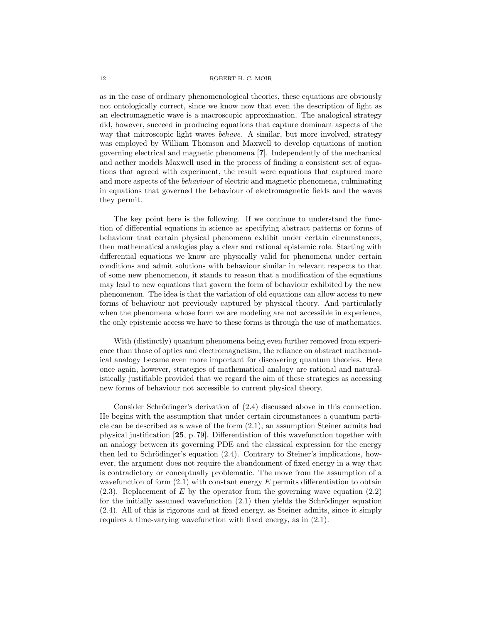as in the case of ordinary phenomenological theories, these equations are obviously not ontologically correct, since we know now that even the description of light as an electromagnetic wave is a macroscopic approximation. The analogical strategy did, however, succeed in producing equations that capture dominant aspects of the way that microscopic light waves behave. A similar, but more involved, strategy was employed by William Thomson and Maxwell to develop equations of motion governing electrical and magnetic phenomena [7]. Independently of the mechanical and aether models Maxwell used in the process of finding a consistent set of equations that agreed with experiment, the result were equations that captured more and more aspects of the behaviour of electric and magnetic phenomena, culminating in equations that governed the behaviour of electromagnetic fields and the waves they permit.

The key point here is the following. If we continue to understand the function of differential equations in science as specifying abstract patterns or forms of behaviour that certain physical phenomena exhibit under certain circumstances, then mathematical analogies play a clear and rational epistemic role. Starting with differential equations we know are physically valid for phenomena under certain conditions and admit solutions with behaviour similar in relevant respects to that of some new phenomenon, it stands to reason that a modification of the equations may lead to new equations that govern the form of behaviour exhibited by the new phenomenon. The idea is that the variation of old equations can allow access to new forms of behaviour not previously captured by physical theory. And particularly when the phenomena whose form we are modeling are not accessible in experience, the only epistemic access we have to these forms is through the use of mathematics.

With (distinctly) quantum phenomena being even further removed from experience than those of optics and electromagnetism, the reliance on abstract mathematical analogy became even more important for discovering quantum theories. Here once again, however, strategies of mathematical analogy are rational and naturalistically justifiable provided that we regard the aim of these strategies as accessing new forms of behaviour not accessible to current physical theory.

Consider Schrödinger's derivation of  $(2.4)$  discussed above in this connection. He begins with the assumption that under certain circumstances a quantum particle can be described as a wave of the form (2.1), an assumption Steiner admits had physical justification [25, p. 79]. Differentiation of this wavefunction together with an analogy between its governing PDE and the classical expression for the energy then led to Schrödinger's equation  $(2.4)$ . Contrary to Steiner's implications, however, the argument does not require the abandonment of fixed energy in a way that is contradictory or conceptually problematic. The move from the assumption of a wavefunction of form  $(2.1)$  with constant energy E permits differentiation to obtain  $(2.3)$ . Replacement of E by the operator from the governing wave equation  $(2.2)$ for the initially assumed wavefunction  $(2.1)$  then yields the Schrödinger equation (2.4). All of this is rigorous and at fixed energy, as Steiner admits, since it simply requires a time-varying wavefunction with fixed energy, as in (2.1).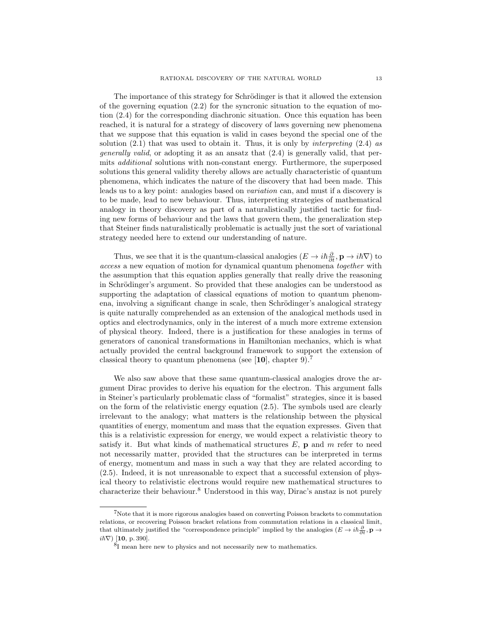The importance of this strategy for Schrödinger is that it allowed the extension of the governing equation  $(2.2)$  for the syncronic situation to the equation of motion (2.4) for the corresponding diachronic situation. Once this equation has been reached, it is natural for a strategy of discovery of laws governing new phenomena that we suppose that this equation is valid in cases beyond the special one of the solution  $(2.1)$  that was used to obtain it. Thus, it is only by *interpreting*  $(2.4)$  as *generally valid*, or adopting it as an ansatz that  $(2.4)$  is generally valid, that permits additional solutions with non-constant energy. Furthermore, the superposed solutions this general validity thereby allows are actually characteristic of quantum phenomena, which indicates the nature of the discovery that had been made. This leads us to a key point: analogies based on variation can, and must if a discovery is to be made, lead to new behaviour. Thus, interpreting strategies of mathematical analogy in theory discovery as part of a naturalistically justified tactic for finding new forms of behaviour and the laws that govern them, the generalization step that Steiner finds naturalistically problematic is actually just the sort of variational strategy needed here to extend our understanding of nature.

Thus, we see that it is the quantum-classical analogies  $(E \to i\hbar \frac{\partial}{\partial t}, \mathbf{p} \to i\hbar \nabla)$  to access a new equation of motion for dynamical quantum phenomena together with the assumption that this equation applies generally that really drive the reasoning in Schrödinger's argument. So provided that these analogies can be understood as supporting the adaptation of classical equations of motion to quantum phenomena, involving a significant change in scale, then Schrödinger's analogical strategy is quite naturally comprehended as an extension of the analogical methods used in optics and electrodynamics, only in the interest of a much more extreme extension of physical theory. Indeed, there is a justification for these analogies in terms of generators of canonical transformations in Hamiltonian mechanics, which is what actually provided the central background framework to support the extension of classical theory to quantum phenomena (see [10], chapter 9).<sup>7</sup>

We also saw above that these same quantum-classical analogies drove the argument Dirac provides to derive his equation for the electron. This argument falls in Steiner's particularly problematic class of "formalist" strategies, since it is based on the form of the relativistic energy equation (2.5). The symbols used are clearly irrelevant to the analogy; what matters is the relationship between the physical quantities of energy, momentum and mass that the equation expresses. Given that this is a relativistic expression for energy, we would expect a relativistic theory to satisfy it. But what kinds of mathematical structures  $E$ , **p** and  $m$  refer to need not necessarily matter, provided that the structures can be interpreted in terms of energy, momentum and mass in such a way that they are related according to (2.5). Indeed, it is not unreasonable to expect that a successful extension of physical theory to relativistic electrons would require new mathematical structures to characterize their behaviour.<sup>8</sup> Understood in this way, Dirac's anstaz is not purely

 ${\rm ^7N}$  ote that it is more rigorous analogies based on converting Poisson brackets to commutation relations, or recovering Poisson bracket relations from commutation relations in a classical limit, that ultimately justified the "correspondence principle" implied by the analogies  $(E \to i\hbar \frac{\partial}{\partial t}, \mathbf{p} \to \infty)$  $i\hbar\nabla$  [10, p. 390].

 $\frac{8}{1}$  mean here new to physics and not necessarily new to mathematics.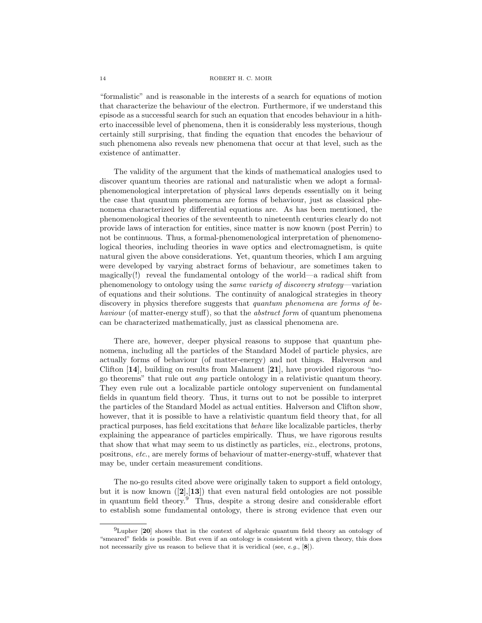#### 14 ROBERT H. C. MOIR

"formalistic" and is reasonable in the interests of a search for equations of motion that characterize the behaviour of the electron. Furthermore, if we understand this episode as a successful search for such an equation that encodes behaviour in a hitherto inaccessible level of phenomena, then it is considerably less mysterious, though certainly still surprising, that finding the equation that encodes the behaviour of such phenomena also reveals new phenomena that occur at that level, such as the existence of antimatter.

The validity of the argument that the kinds of mathematical analogies used to discover quantum theories are rational and naturalistic when we adopt a formalphenomenological interpretation of physical laws depends essentially on it being the case that quantum phenomena are forms of behaviour, just as classical phenomena characterized by differential equations are. As has been mentioned, the phenomenological theories of the seventeenth to nineteenth centuries clearly do not provide laws of interaction for entities, since matter is now known (post Perrin) to not be continuous. Thus, a formal-phenomenological interpretation of phenomenological theories, including theories in wave optics and electromagnetism, is quite natural given the above considerations. Yet, quantum theories, which I am arguing were developed by varying abstract forms of behaviour, are sometimes taken to magically(!) reveal the fundamental ontology of the world—a radical shift from phenomenology to ontology using the same variety of discovery strategy—variation of equations and their solutions. The continuity of analogical strategies in theory discovery in physics therefore suggests that *quantum phenomena are forms of be*haviour (of matter-energy stuff), so that the *abstract form* of quantum phenomena can be characterized mathematically, just as classical phenomena are.

There are, however, deeper physical reasons to suppose that quantum phenomena, including all the particles of the Standard Model of particle physics, are actually forms of behaviour (of matter-energy) and not things. Halverson and Clifton [14], building on results from Malament [21], have provided rigorous "nogo theorems" that rule out any particle ontology in a relativistic quantum theory. They even rule out a localizable particle ontology supervenient on fundamental fields in quantum field theory. Thus, it turns out to not be possible to interpret the particles of the Standard Model as actual entities. Halverson and Clifton show, however, that it is possible to have a relativistic quantum field theory that, for all practical purposes, has field excitations that behave like localizable particles, therby explaining the appearance of particles empirically. Thus, we have rigorous results that show that what may seem to us distinctly as particles, viz., electrons, protons, positrons, etc., are merely forms of behaviour of matter-energy-stuff, whatever that may be, under certain measurement conditions.

The no-go results cited above were originally taken to support a field ontology, but it is now known  $([2],[13])$  that even natural field ontologies are not possible in quantum field theory.<sup>9</sup> Thus, despite a strong desire and considerable effort to establish some fundamental ontology, there is strong evidence that even our

<sup>&</sup>lt;sup>9</sup>Lupher [20] shows that in the context of algebraic quantum field theory an ontology of "smeared" fields is possible. But even if an ontology is consistent with a given theory, this does not necessarily give us reason to believe that it is veridical (see, e.g.,  $[8]$ ).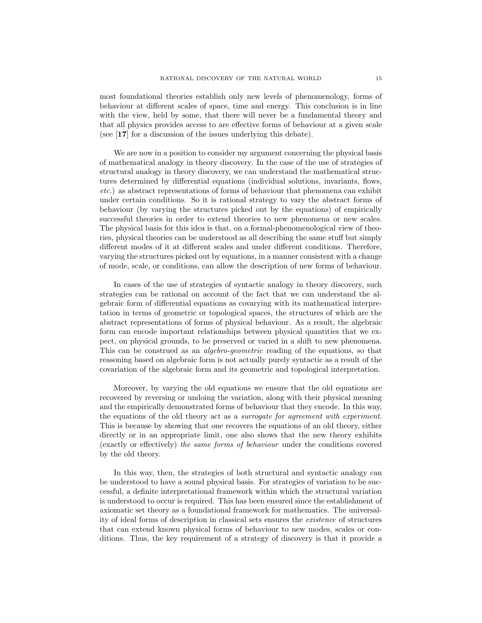most foundational theories establish only new levels of phenomenology, forms of behaviour at different scales of space, time and energy. This conclusion is in line with the view, held by some, that there will never be a fundamental theory and that all physics provides access to are effective forms of behaviour at a given scale (see [17] for a discussion of the issues underlying this debate).

We are now in a position to consider my argument concerning the physical basis of mathematical analogy in theory discovery. In the case of the use of strategies of structural analogy in theory discovery, we can understand the mathematical structures determined by differential equations (individual solutions, invariants, flows, etc.) as abstract representations of forms of behaviour that phenomena can exhibit under certain conditions. So it is rational strategy to vary the abstract forms of behaviour (by varying the structures picked out by the equations) of empirically successful theories in order to extend theories to new phenomena or new scales. The physical basis for this idea is that, on a formal-phenomenological view of theories, physical theories can be understood as all describing the same stuff but simply different modes of it at different scales and under different conditions. Therefore, varying the structures picked out by equations, in a manner consistent with a change of mode, scale, or conditions, can allow the description of new forms of behaviour.

In cases of the use of strategies of syntactic analogy in theory discovery, such strategies can be rational on account of the fact that we can understand the algebraic form of differential equations as covarying with its mathematical interpretation in terms of geometric or topological spaces, the structures of which are the abstract representations of forms of physical behaviour. As a result, the algebraic form can encode important relationships between physical quantities that we expect, on physical grounds, to be preserved or varied in a shift to new phenomena. This can be construed as an algebro-geometric reading of the equations, so that reasoning based on algebraic form is not actually purely syntactic as a result of the covariation of the algebraic form and its geometric and topological interpretation.

Moreover, by varying the old equations we ensure that the old equations are recovered by reversing or undoing the variation, along with their physical meaning and the empirically demonstrated forms of behaviour that they encode. In this way, the equations of the old theory act as a surrogate for agreement with experiment. This is because by showing that one recovers the equations of an old theory, either directly or in an appropriate limit, one also shows that the new theory exhibits (exactly or effectively) the same forms of behaviour under the conditions covered by the old theory.

In this way, then, the strategies of both structural and syntactic analogy can be understood to have a sound physical basis. For strategies of variation to be successful, a definite interpretational framework within which the structural variation is understood to occur is required. This has been ensured since the establishment of axiomatic set theory as a foundational framework for mathematics. The universality of ideal forms of description in classical sets ensures the existence of structures that can extend known physical forms of behaviour to new modes, scales or conditions. Thus, the key requirement of a strategy of discovery is that it provide a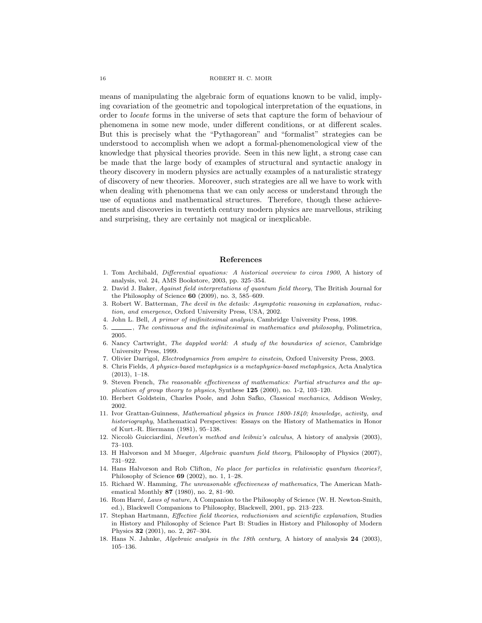means of manipulating the algebraic form of equations known to be valid, implying covariation of the geometric and topological interpretation of the equations, in order to locate forms in the universe of sets that capture the form of behaviour of phenomena in some new mode, under different conditions, or at different scales. But this is precisely what the "Pythagorean" and "formalist" strategies can be understood to accomplish when we adopt a formal-phenomenological view of the knowledge that physical theories provide. Seen in this new light, a strong case can be made that the large body of examples of structural and syntactic analogy in theory discovery in modern physics are actually examples of a naturalistic strategy of discovery of new theories. Moreover, such strategies are all we have to work with when dealing with phenomena that we can only access or understand through the use of equations and mathematical structures. Therefore, though these achievements and discoveries in twentieth century modern physics are marvellous, striking and surprising, they are certainly not magical or inexplicable.

### References

- 1. Tom Archibald, Differential equations: A historical overview to circa 1900, A history of analysis, vol. 24, AMS Bookstore, 2003, pp. 325–354.
- 2. David J. Baker, Against field interpretations of quantum field theory, The British Journal for the Philosophy of Science 60 (2009), no. 3, 585–609.
- 3. Robert W. Batterman, The devil in the details: Asymptotic reasoning in explanation, reduction, and emergence, Oxford University Press, USA, 2002.
- 4. John L. Bell, A primer of inifinitesimal analysis, Cambridge University Press, 1998.
- 5.  $\_\_\_\$ nfinitesimal in mathematics and philosophy, Polimetrica, 2005.
- 6. Nancy Cartwright, The dappled world: A study of the boundaries of science, Cambridge University Press, 1999.
- 7. Olivier Darrigol, Electrodynamics from ampère to einstein, Oxford University Press, 2003.
- 8. Chris Fields, A physics-based metaphysics is a metaphysics-based metaphysics, Acta Analytica (2013), 1–18.
- 9. Steven French, The reasonable effectiveness of mathematics: Partial structures and the application of group theory to physics, Synthese 125 (2000), no. 1-2, 103–120.
- 10. Herbert Goldstein, Charles Poole, and John Safko, Classical mechanics, Addison Wesley, 2002.
- 11. Ivor Grattan-Guinness, Mathematical physics in france 1800-1840; knowledge, activity, and historiography, Mathematical Perspectives: Essays on the History of Mathematics in Honor of Kurt.-R. Biermann (1981), 95–138.
- 12. Niccolò Guicciardini, Newton's method and leibniz's calculus, A history of analysis (2003), 73–103.
- 13. H Halvorson and M Mueger, Algebraic quantum field theory, Philosophy of Physics (2007), 731–922.
- 14. Hans Halvorson and Rob Clifton, No place for particles in relativistic quantum theories?, Philosophy of Science 69 (2002), no. 1, 1–28.
- 15. Richard W. Hamming, The unreasonable effectiveness of mathematics, The American Mathematical Monthly 87 (1980), no. 2, 81–90.
- 16. Rom Harré, Laws of nature, A Companion to the Philosophy of Science (W. H. Newton-Smith, ed.), Blackwell Companions to Philosophy, Blackwell, 2001, pp. 213–223.
- 17. Stephan Hartmann, Effective field theories, reductionism and scientific explanation, Studies in History and Philosophy of Science Part B: Studies in History and Philosophy of Modern Physics 32 (2001), no. 2, 267–304.
- 18. Hans N. Jahnke, Algebraic analysis in the 18th century, A history of analysis 24 (2003), 105–136.